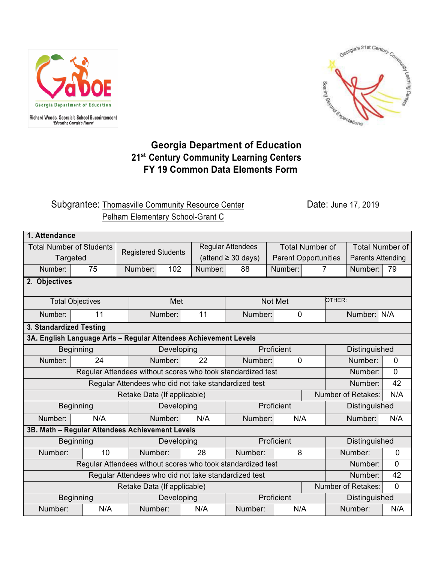



## **Georgia Department of Education 21st Century Community Learning Centers FY 19 Common Data Elements Form**

## Subgrantee: Thomasville Community Resource Center **Date: June 17, 2019** Pelham Elementary School-Grant C

| 1. Attendance                                                          |                         |         |                            |         |                          |             |                             |                           |                |  |  |  |
|------------------------------------------------------------------------|-------------------------|---------|----------------------------|---------|--------------------------|-------------|-----------------------------|---------------------------|----------------|--|--|--|
| <b>Total Number of Students</b>                                        |                         |         | <b>Registered Students</b> |         | <b>Regular Attendees</b> |             | <b>Total Number of</b>      | <b>Total Number of</b>    |                |  |  |  |
| Targeted                                                               |                         |         |                            |         | $(attend \ge 30 days)$   |             | <b>Parent Opportunities</b> | <b>Parents Attending</b>  |                |  |  |  |
| Number:                                                                | 75                      | Number: | 102                        | Number: | 88                       | Number:     | 7                           | Number:                   | 79             |  |  |  |
| 2. Objectives                                                          |                         |         |                            |         |                          |             |                             |                           |                |  |  |  |
|                                                                        | <b>Total Objectives</b> |         | Met                        |         |                          | Not Met     | OTHER:                      |                           |                |  |  |  |
| Number:                                                                | 11                      |         | Number:                    | 11      | Number:                  | $\mathbf 0$ |                             | Number: N/A               |                |  |  |  |
| 3. Standardized Testing                                                |                         |         |                            |         |                          |             |                             |                           |                |  |  |  |
| 3A. English Language Arts - Regular Attendees Achievement Levels       |                         |         |                            |         |                          |             |                             |                           |                |  |  |  |
|                                                                        | <b>Beginning</b>        |         | Developing                 |         | Proficient               |             | Distinguished               |                           |                |  |  |  |
| Number:                                                                | 24                      |         | Number:                    | 22      | Number:                  | $\mathbf 0$ |                             | Number:                   | $\overline{0}$ |  |  |  |
| Regular Attendees without scores who took standardized test<br>Number: |                         |         |                            |         |                          |             |                             | 0                         |                |  |  |  |
| Regular Attendees who did not take standardized test                   |                         |         |                            |         |                          |             |                             |                           | 42<br>Number:  |  |  |  |
| Retake Data (If applicable)                                            |                         |         |                            |         |                          |             |                             | Number of Retakes:<br>N/A |                |  |  |  |
| <b>Beginning</b>                                                       |                         |         | Developing                 |         |                          | Proficient  |                             |                           | Distinguished  |  |  |  |
| Number:                                                                | N/A                     |         | Number:                    | N/A     | Number:                  | N/A         |                             | Number:                   | N/A            |  |  |  |
| 3B. Math - Regular Attendees Achievement Levels                        |                         |         |                            |         |                          |             |                             |                           |                |  |  |  |
| <b>Beginning</b>                                                       |                         |         | Developing                 |         |                          | Proficient  |                             | Distinguished             |                |  |  |  |
| Number:                                                                | 10                      | Number: |                            | 28      | Number:                  | 8           |                             | Number:                   | $\mathbf 0$    |  |  |  |
| Regular Attendees without scores who took standardized test            |                         |         |                            |         |                          |             |                             | Number:                   | 0              |  |  |  |
| Regular Attendees who did not take standardized test                   |                         |         |                            |         |                          |             |                             | Number:                   |                |  |  |  |
| Number of Retakes:<br>Retake Data (If applicable)                      |                         |         |                            |         |                          |             |                             | $\overline{0}$            |                |  |  |  |
| <b>Beginning</b>                                                       |                         |         | Developing                 |         | Proficient               |             | Distinguished               |                           |                |  |  |  |
| Number:                                                                | N/A                     | Number: |                            | N/A     | Number:                  | N/A         |                             | Number:                   |                |  |  |  |